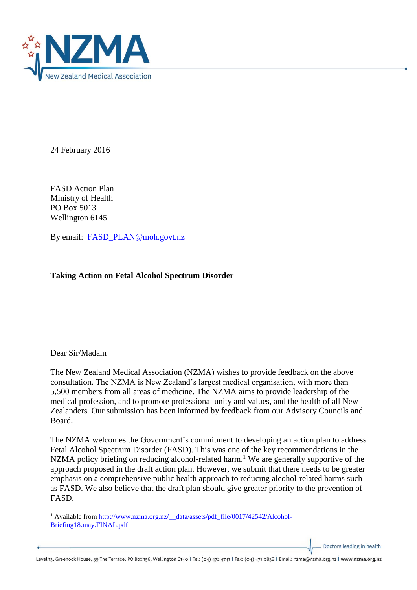

24 February 2016

FASD Action Plan Ministry of Health PO Box 5013 Wellington 6145

By email: [FASD\\_PLAN@moh.govt.nz](mailto:FASD_PLAN@moh.govt.nz)

## **Taking Action on Fetal Alcohol Spectrum Disorder**

## Dear Sir/Madam

1

The New Zealand Medical Association (NZMA) wishes to provide feedback on the above consultation. The NZMA is New Zealand's largest medical organisation, with more than 5,500 members from all areas of medicine. The NZMA aims to provide leadership of the medical profession, and to promote professional unity and values, and the health of all New Zealanders. Our submission has been informed by feedback from our Advisory Councils and Board.

The NZMA welcomes the Government's commitment to developing an action plan to address Fetal Alcohol Spectrum Disorder (FASD). This was one of the key recommendations in the NZMA policy briefing on reducing alcohol-related harm.<sup>1</sup> We are generally supportive of the approach proposed in the draft action plan. However, we submit that there needs to be greater emphasis on a comprehensive public health approach to reducing alcohol-related harms such as FASD. We also believe that the draft plan should give greater priority to the prevention of FASD.

Doctors leading in health

<sup>&</sup>lt;sup>1</sup> Available from http://www.nzma.org.nz/\_data/assets/pdf\_file/0017/42542/Alcohol-[Briefing18.may.FINAL.pdf](http://www.nzma.org.nz/__data/assets/pdf_file/0017/42542/Alcohol-Briefing18.may.FINAL.pdf)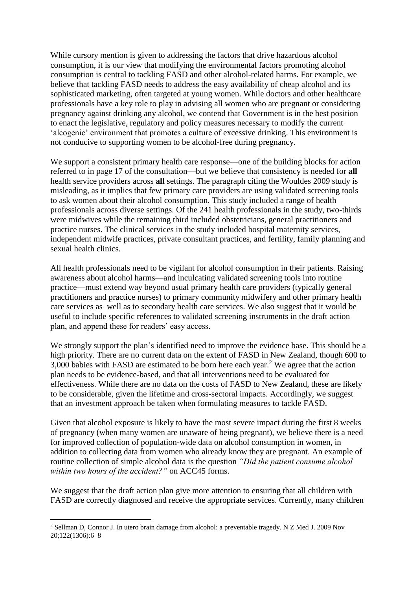While cursory mention is given to addressing the factors that drive hazardous alcohol consumption, it is our view that modifying the environmental factors promoting alcohol consumption is central to tackling FASD and other alcohol-related harms. For example, we believe that tackling FASD needs to address the easy availability of cheap alcohol and its sophisticated marketing, often targeted at young women. While doctors and other healthcare professionals have a key role to play in advising all women who are pregnant or considering pregnancy against drinking any alcohol, we contend that Government is in the best position to enact the legislative, regulatory and policy measures necessary to modify the current 'alcogenic' environment that promotes a culture of excessive drinking. This environment is not conducive to supporting women to be alcohol-free during pregnancy.

We support a consistent primary health care response—one of the building blocks for action referred to in page 17 of the consultation—but we believe that consistency is needed for **all** health service providers across **all** settings. The paragraph citing the Wouldes 2009 study is misleading, as it implies that few primary care providers are using validated screening tools to ask women about their alcohol consumption. This study included a range of health professionals across diverse settings. Of the 241 health professionals in the study, two-thirds were midwives while the remaining third included obstetricians, general practitioners and practice nurses. The clinical services in the study included hospital maternity services, independent midwife practices, private consultant practices, and fertility, family planning and sexual health clinics.

All health professionals need to be vigilant for alcohol consumption in their patients. Raising awareness about alcohol harms—and inculcating validated screening tools into routine practice—must extend way beyond usual primary health care providers (typically general practitioners and practice nurses) to primary community midwifery and other primary health care services as well as to secondary health care services. We also suggest that it would be useful to include specific references to validated screening instruments in the draft action plan, and append these for readers' easy access.

We strongly support the plan's identified need to improve the evidence base. This should be a high priority. There are no current data on the extent of FASD in New Zealand, though 600 to 3,000 babies with FASD are estimated to be born here each year. <sup>2</sup> We agree that the action plan needs to be evidence-based, and that all interventions need to be evaluated for effectiveness. While there are no data on the costs of FASD to New Zealand, these are likely to be considerable, given the lifetime and cross-sectoral impacts. Accordingly, we suggest that an investment approach be taken when formulating measures to tackle FASD.

Given that alcohol exposure is likely to have the most severe impact during the first 8 weeks of pregnancy (when many women are unaware of being pregnant), we believe there is a need for improved collection of population-wide data on alcohol consumption in women, in addition to collecting data from women who already know they are pregnant. An example of routine collection of simple alcohol data is the question *"Did the patient consume alcohol within two hours of the accident?"* on ACC45 forms.

We suggest that the draft action plan give more attention to ensuring that all children with FASD are correctly diagnosed and receive the appropriate services. Currently, many children

**<sup>.</sup>** <sup>2</sup> Sellman D, Connor J. In utero brain damage from alcohol: a preventable tragedy. N Z Med J. 2009 Nov 20;122(1306):6–8